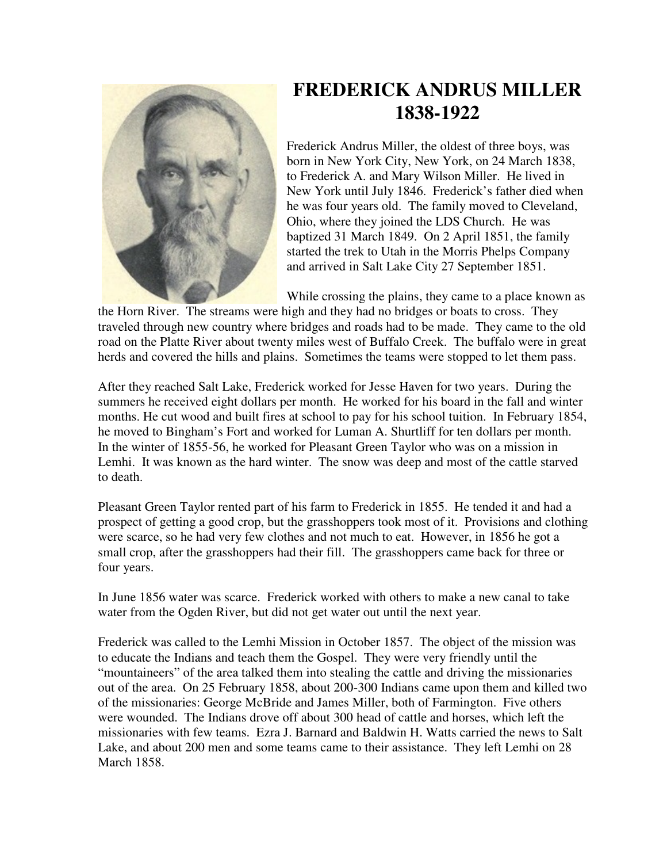

## **FREDERICK ANDRUS MILLER 1838-1922**

Frederick Andrus Miller, the oldest of three boys, was born in New York City, New York, on 24 March 1838, to Frederick A. and Mary Wilson Miller. He lived in New York until July 1846. Frederick's father died when he was four years old. The family moved to Cleveland, Ohio, where they joined the LDS Church. He was baptized 31 March 1849. On 2 April 1851, the family started the trek to Utah in the Morris Phelps Company and arrived in Salt Lake City 27 September 1851.

While crossing the plains, they came to a place known as

the Horn River. The streams were high and they had no bridges or boats to cross. They traveled through new country where bridges and roads had to be made. They came to the old road on the Platte River about twenty miles west of Buffalo Creek. The buffalo were in great herds and covered the hills and plains. Sometimes the teams were stopped to let them pass.

After they reached Salt Lake, Frederick worked for Jesse Haven for two years. During the summers he received eight dollars per month. He worked for his board in the fall and winter months. He cut wood and built fires at school to pay for his school tuition. In February 1854, he moved to Bingham's Fort and worked for Luman A. Shurtliff for ten dollars per month. In the winter of 1855-56, he worked for Pleasant Green Taylor who was on a mission in Lemhi. It was known as the hard winter. The snow was deep and most of the cattle starved to death.

Pleasant Green Taylor rented part of his farm to Frederick in 1855. He tended it and had a prospect of getting a good crop, but the grasshoppers took most of it. Provisions and clothing were scarce, so he had very few clothes and not much to eat. However, in 1856 he got a small crop, after the grasshoppers had their fill. The grasshoppers came back for three or four years.

In June 1856 water was scarce. Frederick worked with others to make a new canal to take water from the Ogden River, but did not get water out until the next year.

Frederick was called to the Lemhi Mission in October 1857. The object of the mission was to educate the Indians and teach them the Gospel. They were very friendly until the "mountaineers" of the area talked them into stealing the cattle and driving the missionaries out of the area. On 25 February 1858, about 200-300 Indians came upon them and killed two of the missionaries: George McBride and James Miller, both of Farmington. Five others were wounded. The Indians drove off about 300 head of cattle and horses, which left the missionaries with few teams. Ezra J. Barnard and Baldwin H. Watts carried the news to Salt Lake, and about 200 men and some teams came to their assistance. They left Lemhi on 28 March 1858.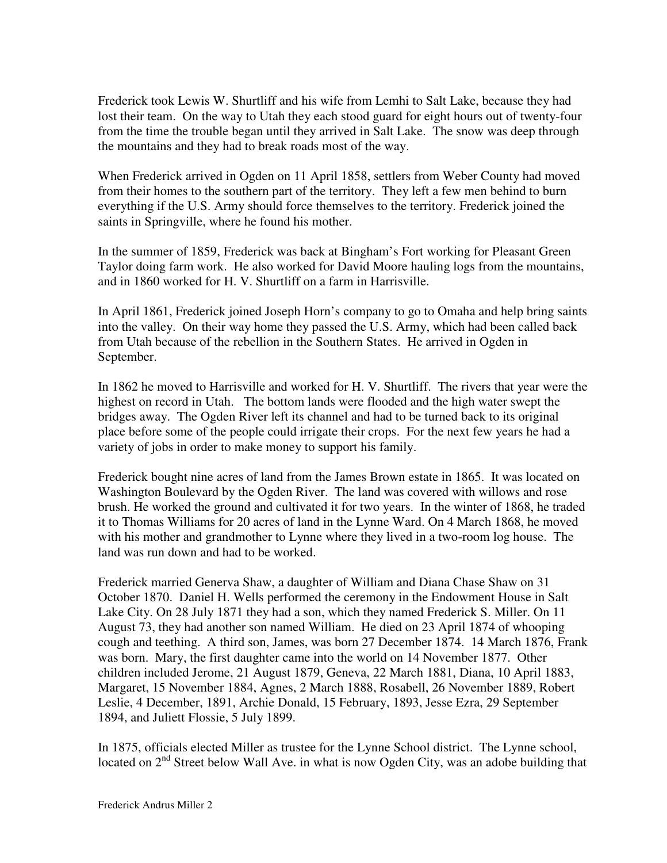Frederick took Lewis W. Shurtliff and his wife from Lemhi to Salt Lake, because they had lost their team. On the way to Utah they each stood guard for eight hours out of twenty-four from the time the trouble began until they arrived in Salt Lake. The snow was deep through the mountains and they had to break roads most of the way.

When Frederick arrived in Ogden on 11 April 1858, settlers from Weber County had moved from their homes to the southern part of the territory. They left a few men behind to burn everything if the U.S. Army should force themselves to the territory. Frederick joined the saints in Springville, where he found his mother.

In the summer of 1859, Frederick was back at Bingham's Fort working for Pleasant Green Taylor doing farm work. He also worked for David Moore hauling logs from the mountains, and in 1860 worked for H. V. Shurtliff on a farm in Harrisville.

In April 1861, Frederick joined Joseph Horn's company to go to Omaha and help bring saints into the valley. On their way home they passed the U.S. Army, which had been called back from Utah because of the rebellion in the Southern States. He arrived in Ogden in September.

In 1862 he moved to Harrisville and worked for H. V. Shurtliff. The rivers that year were the highest on record in Utah. The bottom lands were flooded and the high water swept the bridges away. The Ogden River left its channel and had to be turned back to its original place before some of the people could irrigate their crops. For the next few years he had a variety of jobs in order to make money to support his family.

Frederick bought nine acres of land from the James Brown estate in 1865. It was located on Washington Boulevard by the Ogden River. The land was covered with willows and rose brush. He worked the ground and cultivated it for two years. In the winter of 1868, he traded it to Thomas Williams for 20 acres of land in the Lynne Ward. On 4 March 1868, he moved with his mother and grandmother to Lynne where they lived in a two-room log house. The land was run down and had to be worked.

Frederick married Generva Shaw, a daughter of William and Diana Chase Shaw on 31 October 1870. Daniel H. Wells performed the ceremony in the Endowment House in Salt Lake City. On 28 July 1871 they had a son, which they named Frederick S. Miller. On 11 August 73, they had another son named William. He died on 23 April 1874 of whooping cough and teething. A third son, James, was born 27 December 1874. 14 March 1876, Frank was born. Mary, the first daughter came into the world on 14 November 1877. Other children included Jerome, 21 August 1879, Geneva, 22 March 1881, Diana, 10 April 1883, Margaret, 15 November 1884, Agnes, 2 March 1888, Rosabell, 26 November 1889, Robert Leslie, 4 December, 1891, Archie Donald, 15 February, 1893, Jesse Ezra, 29 September 1894, and Juliett Flossie, 5 July 1899.

In 1875, officials elected Miller as trustee for the Lynne School district. The Lynne school, located on  $2<sup>nd</sup>$  Street below Wall Ave. in what is now Ogden City, was an adobe building that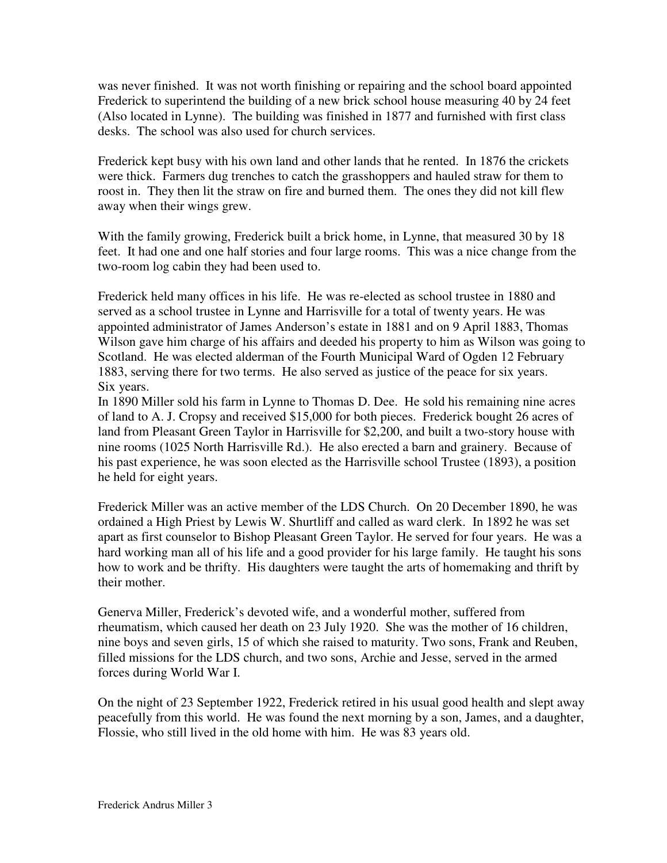was never finished. It was not worth finishing or repairing and the school board appointed Frederick to superintend the building of a new brick school house measuring 40 by 24 feet (Also located in Lynne). The building was finished in 1877 and furnished with first class desks. The school was also used for church services.

Frederick kept busy with his own land and other lands that he rented. In 1876 the crickets were thick. Farmers dug trenches to catch the grasshoppers and hauled straw for them to roost in. They then lit the straw on fire and burned them. The ones they did not kill flew away when their wings grew.

With the family growing, Frederick built a brick home, in Lynne, that measured 30 by 18 feet. It had one and one half stories and four large rooms. This was a nice change from the two-room log cabin they had been used to.

Frederick held many offices in his life. He was re-elected as school trustee in 1880 and served as a school trustee in Lynne and Harrisville for a total of twenty years. He was appointed administrator of James Anderson's estate in 1881 and on 9 April 1883, Thomas Wilson gave him charge of his affairs and deeded his property to him as Wilson was going to Scotland. He was elected alderman of the Fourth Municipal Ward of Ogden 12 February 1883, serving there for two terms. He also served as justice of the peace for six years. Six years.

In 1890 Miller sold his farm in Lynne to Thomas D. Dee. He sold his remaining nine acres of land to A. J. Cropsy and received \$15,000 for both pieces. Frederick bought 26 acres of land from Pleasant Green Taylor in Harrisville for \$2,200, and built a two-story house with nine rooms (1025 North Harrisville Rd.). He also erected a barn and grainery. Because of his past experience, he was soon elected as the Harrisville school Trustee (1893), a position he held for eight years.

Frederick Miller was an active member of the LDS Church. On 20 December 1890, he was ordained a High Priest by Lewis W. Shurtliff and called as ward clerk. In 1892 he was set apart as first counselor to Bishop Pleasant Green Taylor. He served for four years. He was a hard working man all of his life and a good provider for his large family. He taught his sons how to work and be thrifty. His daughters were taught the arts of homemaking and thrift by their mother.

Generva Miller, Frederick's devoted wife, and a wonderful mother, suffered from rheumatism, which caused her death on 23 July 1920. She was the mother of 16 children, nine boys and seven girls, 15 of which she raised to maturity. Two sons, Frank and Reuben, filled missions for the LDS church, and two sons, Archie and Jesse, served in the armed forces during World War I.

On the night of 23 September 1922, Frederick retired in his usual good health and slept away peacefully from this world. He was found the next morning by a son, James, and a daughter, Flossie, who still lived in the old home with him. He was 83 years old.